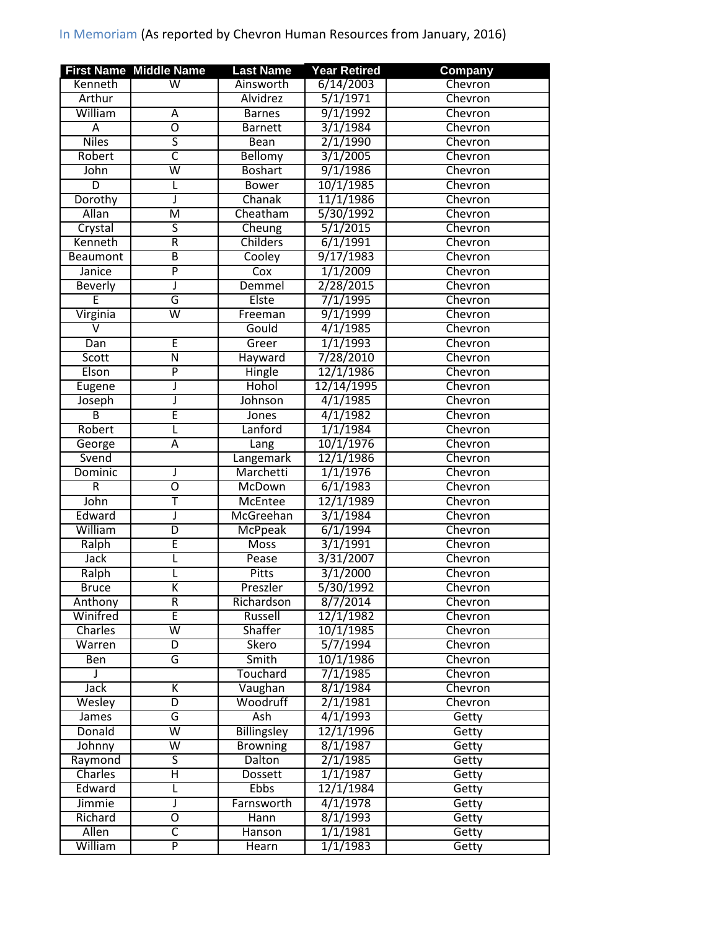## In Memoriam (As reported by Chevron Human Resources from January, 2016)

|                | <b>First Name Middle Name</b> | <b>Last Name</b>   | <b>Year Retired</b>   | <b>Company</b> |
|----------------|-------------------------------|--------------------|-----------------------|----------------|
| Kenneth        | W                             | Ainsworth          | 6/14/2003             | Chevron        |
| Arthur         |                               | Alvidrez           | 5/1/1971              | Chevron        |
| William        | A                             | <b>Barnes</b>      | 9/1/1992              | Chevron        |
| A              | $\overline{0}$                | <b>Barnett</b>     | 3/1/1984              | Chevron        |
| <b>Niles</b>   | $\overline{\mathsf{s}}$       | <b>Bean</b>        | 2/1/1990              | Chevron        |
| Robert         | С                             | <b>Bellomy</b>     | 3/1/2005              | Chevron        |
| John           | $\overline{\mathsf{w}}$       | <b>Boshart</b>     | 9/1/1986              | Chevron        |
| $\overline{D}$ | L                             | <b>Bower</b>       | 10/1/1985             | Chevron        |
| Dorothy        | J                             | Chanak             | 11/1/1986             | Chevron        |
| Allan          | $\overline{\mathsf{M}}$       | Cheatham           | 5/30/1992             | Chevron        |
| Crystal        | ऽ                             | Cheung             | 5/1/2015              | Chevron        |
| Kenneth        | R                             | <b>Childers</b>    | 6/1/1991              | Chevron        |
| Beaumont       | $\overline{B}$                | Cooley             | 9/17/1983             | Chevron        |
| Janice         | $\overline{\mathsf{P}}$       | Cox                | 1/1/2009              | Chevron        |
| <b>Beverly</b> | J                             | Demmel             | 2/28/2015             | Chevron        |
| Έ              | G                             | Elste              | 7/1/1995              | Chevron        |
| Virginia       | $\overline{\mathsf{w}}$       | Freeman            | 9/1/1999              | Chevron        |
| $\vee$         |                               | Gould              | 4/1/1985              | Chevron        |
| Dan            | E                             | Greer              | 1/1/1993              | Chevron        |
| <b>Scott</b>   | Ñ                             | <b>Hayward</b>     | 7/28/2010             | Chevron        |
| Elson          | $\overline{P}$                | Hingle             | 12/1/1986             | Chevron        |
| Eugene         | J                             | Hohol              | 12/14/1995            | Chevron        |
| Joseph         | J                             | Johnson            | 4/1/1985              | Chevron        |
| $\overline{B}$ | Ē                             | Jones              | 4/1/1982              | Chevron        |
| Robert         |                               | Lanford            | 1/1/1984              | Chevron        |
| George         | Ā                             | Lang               | 10/1/1976             | Chevron        |
| Svend          |                               | Langemark          | 12/1/1986             | Chevron        |
| <b>Dominic</b> | J                             | Marchetti          | 1/1/1976              | Chevron        |
| $\overline{R}$ | $\overline{0}$                | McDown             | 6/1/1983              | Chevron        |
| John           | Ŧ                             | <b>McEntee</b>     | 12/1/1989             | Chevron        |
| Edward         | J                             | McGreehan          | 3/1/1984              | Chevron        |
| William        | $\overline{D}$                | <b>McPpeak</b>     | 6/1/1994              | Chevron        |
| Ralph          | Ē                             | <b>Moss</b>        | 3/1/1991              | Chevron        |
| <b>Jack</b>    | L                             | Pease              | 3/31/2007             | Chevron        |
| Ralph          | L                             | Pitts              | 3/1/2000              | Chevron        |
| <b>Bruce</b>   | $\overline{\mathsf{K}}$       | Preszler           | 5/30/1992             | <b>Chevron</b> |
| Anthony        | $\overline{R}$                | Richardson         | 8/7/2014              | Chevron        |
| Winifred       | E                             | Russell            | 12/1/1982             | Chevron        |
| Charles        | $\overline{\mathsf{w}}$       | Shaffer            | 10/1/1985             | Chevron        |
| Warren         | D                             | Skero              | 5/7/1994              | Chevron        |
| Ben            | G                             | Smith              | 10/1/1986             | Chevron        |
| J.             |                               | Touchard           | 7/1/1985              | Chevron        |
| <b>Jack</b>    | Κ                             | Vaughan            | 8/1/1984              | Chevron        |
| Wesley         | $\overline{\mathsf{D}}$       | Woodruff           | $2/\overline{1/1981}$ | Chevron        |
| James          | G                             | Ash                | 4/1/1993              | Getty          |
| Donald         | $\overline{\mathsf{w}}$       | <b>Billingsley</b> | 12/1/1996             | Getty          |
| Johnny         | $\overline{\mathsf{w}}$       | <b>Browning</b>    | 8/1/1987              | Getty          |
| Raymond        | ς                             | Dalton             | 2/1/1985              | Getty          |
| Charles        | Η                             | Dossett            | 1/1/1987              | Getty          |
| Edward         | L                             | <b>Ebbs</b>        | 12/1/1984             | Getty          |
| Jimmie         | J                             | Farnsworth         | 4/1/1978              | Getty          |
| Richard        | O                             | Hann               | 8/1/1993              | Getty          |
| <b>Allen</b>   | $\overline{\mathsf{C}}$       | Hanson             | 1/1/1981              | Getty          |
| William        | P                             | Hearn              | 1/1/1983              | Getty          |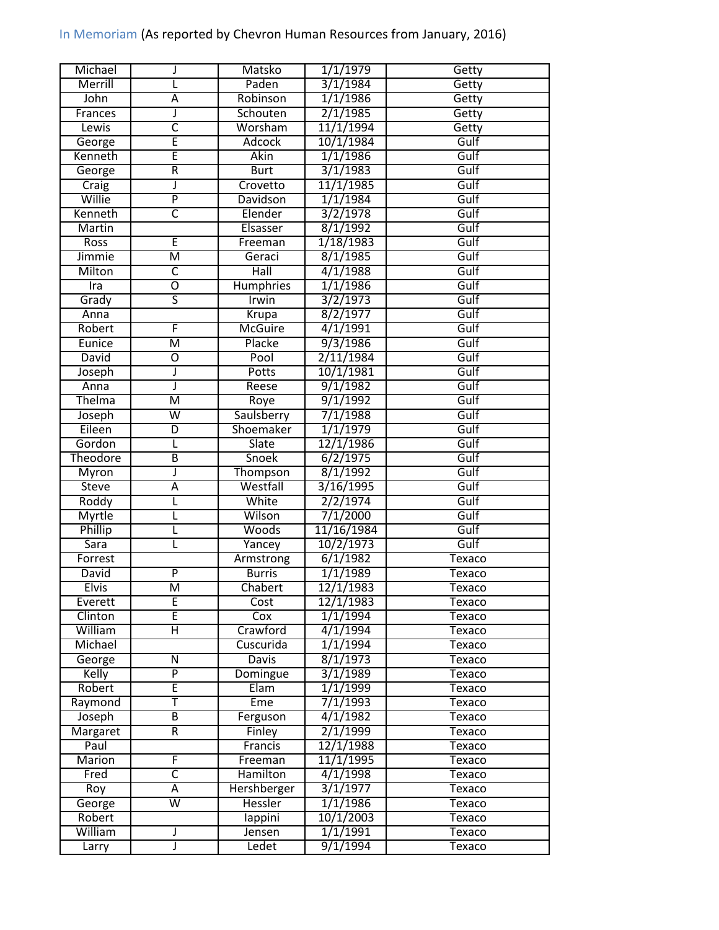## In Memoriam (As reported by Chevron Human Resources from January, 2016)

| Michael          | J                       | Matsko                     | 1/1/1979   | Getty         |
|------------------|-------------------------|----------------------------|------------|---------------|
| Merrill          |                         | Paden                      | 3/1/1984   | Getty         |
| John             | Α                       | Robinson                   | 1/1/1986   | Getty         |
| Frances          | J                       | Schouten                   | 2/1/1985   | Getty         |
| Lewis            | $\overline{\mathsf{c}}$ | Worsham                    | 11/1/1994  | Getty         |
| George           | Ē                       | <b>Adcock</b>              | 10/1/1984  | Gulf          |
| Kenneth          | Ē                       | <b>Akin</b>                | 1/1/1986   | Gulf          |
| George           | $\overline{\mathsf{R}}$ | <b>Burt</b>                | 3/1/1983   | Gulf          |
| Craig            | J                       | Crovetto                   | 11/1/1985  | Gulf          |
| Willie           | $\overline{\mathsf{P}}$ | Davidson                   | 1/1/1984   | Gulf          |
| Kenneth          | $\overline{\mathsf{c}}$ | Elender                    | 3/2/1978   | Gulf          |
| Martin           |                         | Elsasser                   | 8/1/1992   | Gulf          |
| <b>Ross</b>      | Έ                       | Freeman                    | 1/18/1983  | Gulf          |
| Jimmie           | $\overline{\mathsf{M}}$ | Geraci                     | 8/1/1985   | Gulf          |
| Milton           | $\overline{\mathsf{c}}$ | $\overline{\mathsf{Hall}}$ | 4/1/1988   | Gulf          |
| Ira              | $\overline{0}$          | Humphries                  | 1/1/1986   | Gulf          |
| Grady            | $\overline{\mathsf{S}}$ | Irwin                      | 3/2/1973   | Gulf          |
| Anna             |                         | Krupa                      | 8/2/1977   | Gulf          |
| Robert           | F                       | <b>McGuire</b>             | 4/1/1991   | Gulf          |
| Eunice           | $\overline{\mathsf{M}}$ | Placke                     | 9/3/1986   | Gulf          |
| David            | Ō                       | Pool                       | 2/11/1984  | Gulf          |
| Joseph           | J                       | <b>Potts</b>               | 10/1/1981  | Gulf          |
| Anna             | J                       | Reese                      | 9/1/1982   | Gulf          |
| Thelma           | M                       | Roye                       | 9/1/1992   | Gulf          |
|                  | $\overline{\mathsf{w}}$ | Saulsberry                 | 7/1/1988   | Gulf          |
| Joseph<br>Eileen |                         | Shoemaker                  |            | Gulf          |
|                  | D                       |                            | 1/1/1979   |               |
| Gordon           | L                       | Slate                      | 12/1/1986  | Gulf          |
| Theodore         | B                       | Snoek                      | 6/2/1975   | Gulf          |
| Myron            | J                       | Thompson                   | 8/1/1992   | Gulf          |
| <b>Steve</b>     | A                       | Westfall                   | 3/16/1995  | Gulf          |
| Roddy            | L                       | White                      | 2/2/1974   | Gulf          |
| <b>Myrtle</b>    | L                       | Wilson                     | 7/1/2000   | Gulf          |
| Phillip          | L                       | <b>Woods</b>               | 11/16/1984 | Gulf          |
| <b>Sara</b>      | L                       | Yancey                     | 10/2/1973  | Gulf          |
| Forrest          |                         | Armstrong                  | 6/1/1982   | Texaco        |
| <b>David</b>     | $\overline{P}$          | <b>Burris</b>              | 1/1/1989   | Texaco        |
| <b>Elvis</b>     | M                       | Chabert                    | 12/1/1983  | <b>Texaco</b> |
| Everett          | Ē                       | Cost                       | 12/1/1983  | Texaco        |
| Clinton          | Ē                       | Cox                        | 1/1/1994   | Texaco        |
| William          | н                       | Crawford                   | 4/1/1994   | Texaco        |
| Michael          |                         | Cuscurida                  | 1/1/1994   | Texaco        |
| George           | Ν                       | <b>Davis</b>               | 8/1/1973   | Texaco        |
| Kelly            | $\overline{P}$          | Domingue                   | 3/1/1989   | Texaco        |
| Robert           | E                       | Elam                       | 1/1/1999   | Texaco        |
| Raymond          | Ŧ                       | Eme                        | 7/1/1993   | Texaco        |
| Joseph           | B                       | Ferguson                   | 4/1/1982   | Texaco        |
| Margaret         | $\overline{R}$          | Finley                     | 2/1/1999   | Texaco        |
| Paul             |                         | Francis                    | 12/1/1988  | Texaco        |
| Marion           | F                       | Freeman                    | 11/1/1995  | Texaco        |
| Fred             | $\overline{\mathsf{c}}$ | <b>Hamilton</b>            | 4/1/1998   | Texaco        |
| Roy              | Α                       | Hershberger                | 3/1/1977   | Texaco        |
| George           | $\overline{\mathsf{W}}$ | Hessler                    | 1/1/1986   | Texaco        |
| Robert           |                         | lappini                    | 10/1/2003  | Texaco        |
| William          | J                       | Jensen                     | 1/1/1991   | Texaco        |
| Larry            | J                       | Ledet                      | 9/1/1994   | Texaco        |